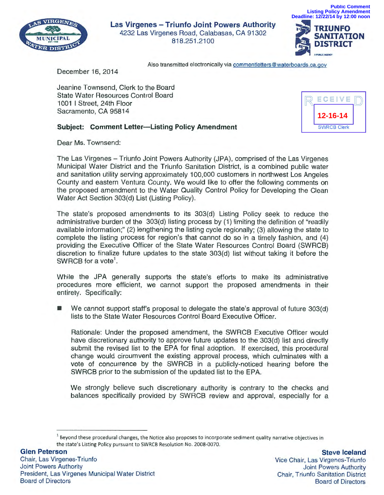

**Las Virgenes - Triunfo Joint Powers Authority**  4232 Las Virgenes Road, Calabasas, CA 91302 818.251 .2100



**Public Comment**

Also transmitted electronically via commentletters@waterboards.ca.gov

December 16, 2014

Jeanine Townsend, Clerk to the Board State Water Resources Control Board 1001 I Street, 24th Floor Sacramento, CA 95814



## **Subject: Comment Letter-Listing Policy Amendment**

Dear Ms. Townsend:

The Las Virgenes - Triunfo Joint Powers Authority (JPA), comprised of the Las Virgenes Municipal Water District and the Triunfo Sanitation District, is a combined public water and sanitation utility serving approximately 100,000 customers in northwest Los Angeles County and eastern Ventura County. We would like to offer the following comments on the proposed amendment to the Water Quality Control Policy for Developing the Clean Water Act Section 303(d) List (Listing Policy).

The state's proposed amendments to its 303(d) Listing Policy seek to reduce the administrative burden of the 303(d) listing process by (1) limiting the definition of "readily available information;" (2) lengthening the listing cycle regionally; (3) allowing the state to complete the listing process for region's that cannot do so in a timely fashion, and (4) providing the Executive Officer of the State Water Resources Control Board (SWRCB) discretion to finalize future updates to the state 303(d) list without taking it before the SWRCB for a vote<sup>1</sup>.

While the JPA generally supports the state's efforts to make its administrative procedures more efficient, we cannot support the proposed amendments in their entirety. Specifically:

• We cannot support staff's proposal to delegate the state's approval of future 303(d) lists to the State Water Resources Control Board Executive Officer.

Rationale: Under the proposed amendment, the SWRCB Executive Officer would have discretionary authority to approve future updates to the 303(d) list and directly submit the revised list to the EPA for final adoption. If exercised, this procedural change would circumvent the existing approval process, which culminates with a vote of concurrence by the SWRCB in a publicly-noticed hearing before the SWRCB prior to the submission of the updated list to the EPA.

We strongly believe such discretionary authority is contrary to the checks and balances specifically provided by SWRCB review and approval, especially for a

<sup>&</sup>lt;sup>1</sup> Beyond these procedural changes, the Notice also proposes to incorporate sediment quality narrative objectives in the state's Listing Policy pursuant to SWRCB Resolution No. 2008-0070.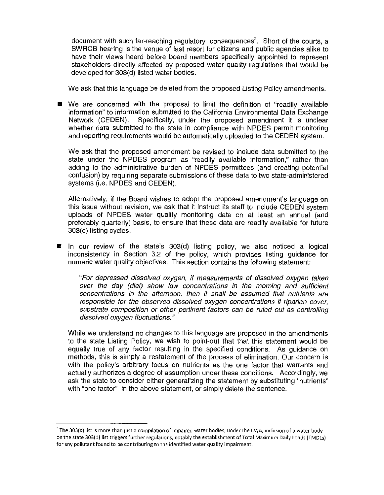document with such far-reaching regulatory consequences<sup>2</sup>. Short of the courts, a SWRCB hearing is the venue of last resort for citizens and public agencies alike to have their views heard before board members specifically appointed to represent stakeholders directly affected by proposed water quality regulations that would be developed for 303(d) listed water bodies.

We ask that this language be deleted from the proposed Listing Policy amendments.

**•** We are concerned with the proposal to limit the definition of "readily available information" to information submitted to the California Environmental Data Exchange Network (CEDEN). Specifically, under the proposed amendment it is unclear whether data submitted to the state in compliance with NPDES permit monitoring and reporting requirements would be automatically uploaded to the CEDEN system.

We ask that the proposed amendment be revised to include data submitted to the state under the NPDES program as "readily available information," rather than adding to the administrative burden of NPDES permittees (and creating potential confusion) by requiring separate submissions of these data to two state-administered systems (i.e. NPDES and CEDEN).

Alternatively, if the Board wishes to adopt the proposed amendment's language on this issue without revision, we ask that it instruct its staff to include CEDEN system uploads of NPDES water quality monitoring data on at least an annual (and preferably quarterly) basis, to ensure that these data are readily available for future 303(d) listing cycles.

**E** In our review of the state's 303(d) listing policy, we also noticed a logical inconsistency in Section 3.2 of the policy, which provides listing guidance for numeric water quality objectives. This section contains the following statement:

"For depressed dissolved oxygen, if measurements of dissolved oxygen taken over the day (diel) show low concentrations in the morning and sufficient concentrations in the afternoon, then it shall be assumed that nutrients are responsible for the observed dissolved oxygen concentrations if riparian cover, substrate composition or other pertinent factors can be ruled out as controlling dissolved oxygen fluctuations."

While we understand no changes to this language are proposed in the amendments to the state Listing Policy, we wish to point-out that that this statement would be equally true of any factor resulting in the specified conditions. As guidance on methods, this is simply a restatement of the process of elimination. Our concern is with the policy's arbitrary focus on nutrients as the one factor that warrants and actually authorizes a degree of assumption under these conditions. Accordingly, we ask the state to consider either generalizing the statement by substituting "nutrients" with "one factor" in the above statement, or simply delete the sentence.

<sup>2</sup>**The 303(d) list is more than just a compilation of impaired water bodies; under the CWA, inclusion of a water body on the state 303(d) list triggers further regulations, notably the establishment of Total Maximum Daily Loads (TMDls) for any pollutant found to be contributing to the identified water quality impairment.**